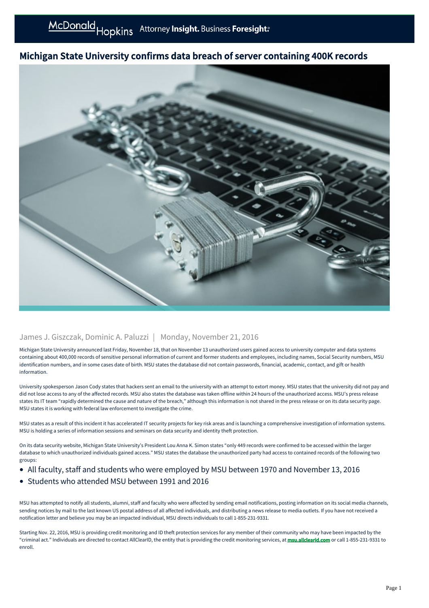## Michigan State University confirms data breach of server containing 400K records



## James J. Giszczak, Dominic A. Paluzzi | Monday, November 21, 2016

Michigan State University announced last Friday, November 18, that on November 13 unauthorized users gained access to university computer and data systems containing about 400,000 records of sensitive personal information of current and former students and employees, including names, Social Security numbers, MSU identification numbers, and in some cases date of birth. MSU states the database did not contain passwords, financial, academic, contact, and gift or health information.

University spokesperson Jason Cody states that hackers sent an email to the university with an attempt to extort money. MSU states that the university did not pay and did not lose access to any of the affected records. MSU also states the database was taken offline within 24 hours of the unauthorized access. MSU's press release states its IT team "rapidly determined the cause and nature of the breach," although this information is not shared in the press release or on its data security page. MSU states it is working with federal law enforcement to investigate the crime.

MSU states as a result of this incident it has accelerated IT security projects for key risk areas and is launching a comprehensive investigation of information systems. MSU is holding a series of information sessions and seminars on data security and identity theft protection.

On its data security website, Michigan State University's President Lou Anna K. Simon states "only 449 records were confirmed to be accessed within the larger database to which unauthorized individuals gained access." MSU states the database the unauthorized party had access to contained records of the following two groups:

- All faculty, staff and students who were employed by MSU between 1970 and November 13, 2016  $\bullet$
- Students who attended MSU between 1991 and 2016

MSU has attempted to notify all students, alumni, staff and faculty who were affected by sending email notifications, posting information on its social media channels, sending notices by mail to the last known US postal address of all affected individuals, and distributing a news release to media outlets. If you have not received a notification letter and believe you may be an impacted individual, MSU directs individuals to call 1-855-231-9331.

Starting Nov. 22, 2016, MSU is providing credit monitoring and ID theft protection services for any member of their community who may have been impacted by the "criminal act." Individuals are directed to contact AllClearID, the entity that is providing the credit monitoring services, at [msu.allclearid.com](https://msu.allclearid.com) or call 1-855-231-9331 to enroll.